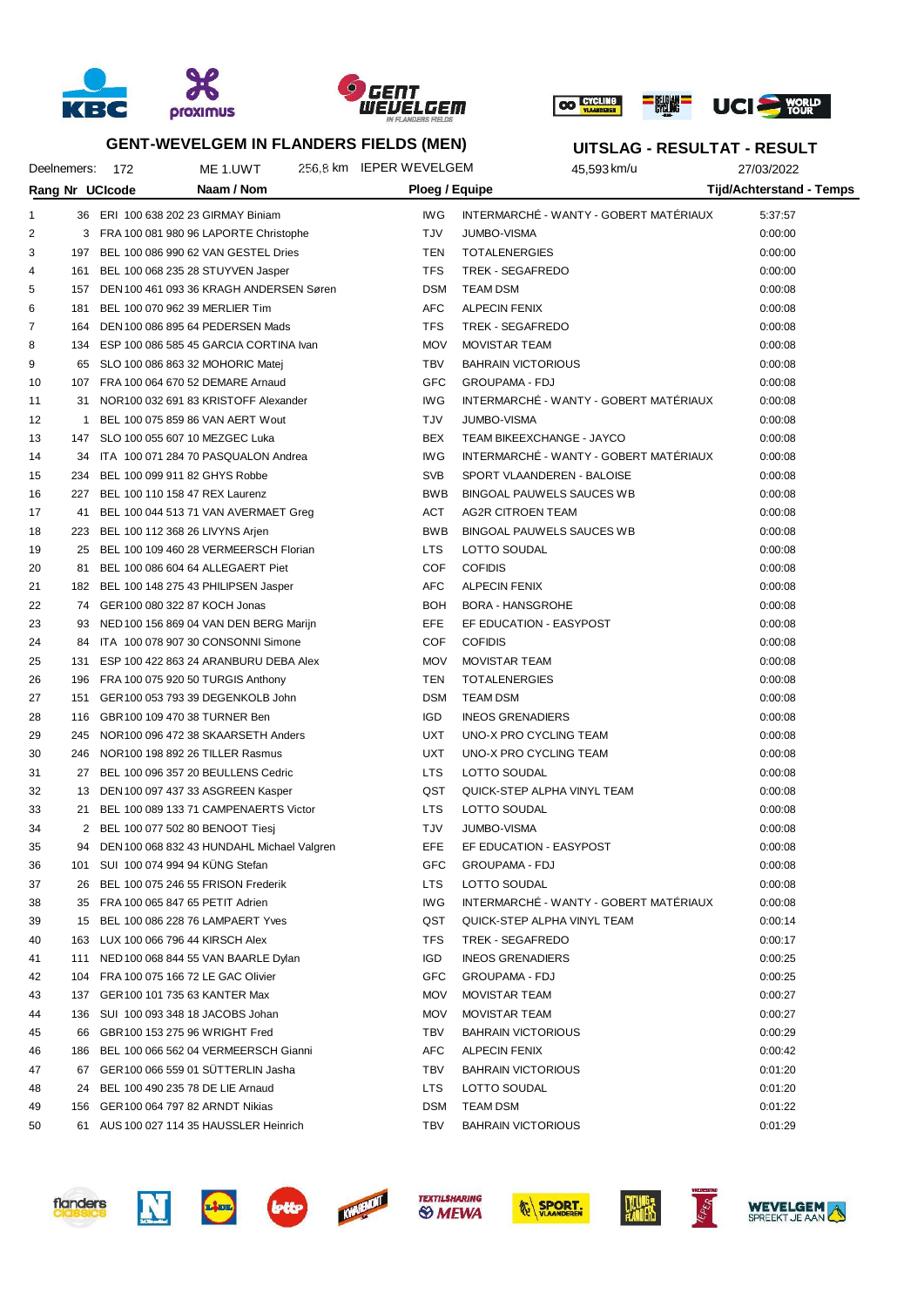





**UITSLAG - RESULTAT - RESULT**

|    | Deelnemers: | - 172           | ME 1.UWT                                      | 256,8 km IEPER WEVELGEM | 45,593 km/u                            | 27/03/2022                      |  |
|----|-------------|-----------------|-----------------------------------------------|-------------------------|----------------------------------------|---------------------------------|--|
|    |             | Rang Nr UCIcode | Naam / Nom                                    | Ploeg / Equipe          |                                        | <b>Tijd/Achterstand - Temps</b> |  |
| 1  |             |                 | 36 ERI 100 638 202 23 GIRMAY Biniam           | IW <sub>G</sub>         | INTERMARCHÉ - WANTY - GOBERT MATÉRIAUX | 5:37:57                         |  |
| 2  |             |                 | 3 FRA 100 081 980 96 LAPORTE Christophe       | TJV                     | <b>JUMBO-VISMA</b>                     | 0:00:00                         |  |
| 3  | 197         |                 | BEL 100 086 990 62 VAN GESTEL Dries           | TEN                     | <b>TOTALENERGIES</b>                   | 0:00:00                         |  |
| 4  | 161         |                 | BEL 100 068 235 28 STUYVEN Jasper             | TFS                     | TREK - SEGAFREDO                       | 0:00:00                         |  |
| 5  | 157         |                 | DEN 100 461 093 36 KRAGH ANDERSEN Søren       | <b>DSM</b>              | <b>TEAM DSM</b>                        | 0:00:08                         |  |
| 6  | 181         |                 | BEL 100 070 962 39 MERLIER Tim                | <b>AFC</b>              | <b>ALPECIN FENIX</b>                   | 0:00:08                         |  |
| 7  | 164         |                 | DEN 100 086 895 64 PEDERSEN Mads              | <b>TFS</b>              | TREK - SEGAFREDO                       | 0:00:08                         |  |
| 8  |             |                 | 134 ESP 100 086 585 45 GARCIA CORTINA Ivan    | <b>MOV</b>              | <b>MOVISTAR TEAM</b>                   | 0:00:08                         |  |
| 9  | 65          |                 | SLO 100 086 863 32 MOHORIC Matej              | <b>TBV</b>              | <b>BAHRAIN VICTORIOUS</b>              | 0:00:08                         |  |
| 10 | 107         |                 | FRA 100 064 670 52 DEMARE Arnaud              | GFC                     | <b>GROUPAMA - FDJ</b>                  | 0:00:08                         |  |
| 11 | 31          |                 | NOR100 032 691 83 KRISTOFF Alexander          | IW <sub>G</sub>         | INTERMARCHÉ - WANTY - GOBERT MATÉRIAUX | 0:00:08                         |  |
| 12 | 1           |                 | BEL 100 075 859 86 VAN AERT Wout              | TJV                     | <b>JUMBO-VISMA</b>                     | 0:00:08                         |  |
| 13 | 147         |                 | SLO 100 055 607 10 MEZGEC Luka                | <b>BEX</b>              | TEAM BIKEEXCHANGE - JAYCO              | 0:00:08                         |  |
| 14 | 34          |                 | ITA 100 071 284 70 PASQUALON Andrea           | IW <sub>G</sub>         | INTERMARCHÉ - WANTY - GOBERT MATÉRIAUX | 0:00:08                         |  |
| 15 | 234         |                 | BEL 100 099 911 82 GHYS Robbe                 | <b>SVB</b>              | SPORT VLAANDEREN - BALOISE             | 0:00:08                         |  |
| 16 | 227         |                 | BEL 100 110 158 47 REX Laurenz                | <b>BWB</b>              | BINGOAL PAUWELS SAUCES WB              | 0:00:08                         |  |
| 17 | 41          |                 | BEL 100 044 513 71 VAN AVERMAET Greg          | <b>ACT</b>              | <b>AG2R CITROEN TEAM</b>               | 0:00:08                         |  |
| 18 | 223         |                 | BEL 100 112 368 26 LIVYNS Arjen               | <b>BWB</b>              | BINGOAL PAUWELS SAUCES WB              | 0:00:08                         |  |
| 19 | 25          |                 | BEL 100 109 460 28 VERMEERSCH Florian         | <b>LTS</b>              | LOTTO SOUDAL                           | 0:00:08                         |  |
| 20 | 81          |                 | BEL 100 086 604 64 ALLEGAERT Piet             | COF                     | <b>COFIDIS</b>                         | 0:00:08                         |  |
| 21 | 182         |                 | BEL 100 148 275 43 PHILIPSEN Jasper           | <b>AFC</b>              | <b>ALPECIN FENIX</b>                   | 0:00:08                         |  |
| 22 |             |                 | 74 GER100 080 322 87 KOCH Jonas               | BOH                     | <b>BORA - HANSGROHE</b>                | 0:00:08                         |  |
| 23 | 93          |                 | NED 100 156 869 04 VAN DEN BERG Marijn        | EFE                     | EF EDUCATION - EASYPOST                | 0:00:08                         |  |
| 24 | 84.         |                 | ITA 100 078 907 30 CONSONNI Simone            | COF                     | <b>COFIDIS</b>                         | 0:00:08                         |  |
| 25 | 131         |                 | ESP 100 422 863 24 ARANBURU DEBA Alex         | <b>MOV</b>              | <b>MOVISTAR TEAM</b>                   | 0:00:08                         |  |
| 26 | 196         |                 | FRA 100 075 920 50 TURGIS Anthony             | TEN                     | <b>TOTALENERGIES</b>                   | 0:00:08                         |  |
| 27 | 151         |                 | GER100 053 793 39 DEGENKOLB John              | <b>DSM</b>              | <b>TEAM DSM</b>                        | 0:00:08                         |  |
| 28 |             |                 | 116 GBR100 109 470 38 TURNER Ben              | <b>IGD</b>              | <b>INEOS GRENADIERS</b>                | 0:00:08                         |  |
| 29 | 245         |                 | NOR100 096 472 38 SKAARSETH Anders            | <b>UXT</b>              | UNO-X PRO CYCLING TEAM                 | 0:00:08                         |  |
| 30 | 246         |                 | NOR100 198 892 26 TILLER Rasmus               | <b>UXT</b>              | UNO-X PRO CYCLING TEAM                 | 0:00:08                         |  |
| 31 | 27          |                 | BEL 100 096 357 20 BEULLENS Cedric            | <b>LTS</b>              | LOTTO SOUDAL                           | 0:00:08                         |  |
| 32 | 13          |                 | DEN 100 097 437 33 ASGREEN Kasper             | QST                     | QUICK-STEP ALPHA VINYL TEAM            | 0:00:08                         |  |
| 33 | 21          |                 | BEL 100 089 133 71 CAMPENAERTS Victor         | <b>LTS</b>              | LOTTO SOUDAL                           | 0:00:08                         |  |
| 34 |             |                 | 2 BEL 100 077 502 80 BENOOT Tiesj             | TJV                     | <b>JUMBO-VISMA</b>                     | 0:00:08                         |  |
| 35 |             |                 | 94 DEN 100 068 832 43 HUNDAHL Michael Valgren | EFE                     | EF EDUCATION - EASYPOST                | 0:00:08                         |  |
| 36 |             |                 | 101 SUI 100 074 994 94 KUNG Stefan            | GFC                     | <b>GROUPAMA - FDJ</b>                  | 0:00:08                         |  |
| 37 | 26          |                 | BEL 100 075 246 55 FRISON Frederik            | LTS                     | LOTTO SOUDAL                           | 0:00:08                         |  |
| 38 |             |                 | 35 FRA 100 065 847 65 PETIT Adrien            | IW <sub>G</sub>         | INTERMARCHÉ - WANTY - GOBERT MATÉRIAUX | 0:00:08                         |  |
| 39 |             |                 | 15 BEL 100 086 228 76 LAMPAERT Yves           | QST                     | QUICK-STEP ALPHA VINYL TEAM            | 0:00:14                         |  |
| 40 |             |                 | 163 LUX 100 066 796 44 KIRSCH Alex            | TFS                     | TREK - SEGAFREDO                       | 0:00:17                         |  |
| 41 |             |                 | 111 NED 100 068 844 55 VAN BAARLE Dylan       | <b>IGD</b>              | <b>INEOS GRENADIERS</b>                | 0:00:25                         |  |
| 42 |             |                 | 104 FRA 100 075 166 72 LE GAC Olivier         | GFC                     | <b>GROUPAMA - FDJ</b>                  | 0:00:25                         |  |
| 43 |             |                 | 137 GER100 101 735 63 KANTER Max              | MOV                     | <b>MOVISTAR TEAM</b>                   | 0:00:27                         |  |
| 44 |             |                 | 136 SUI 100 093 348 18 JACOBS Johan           | <b>MOV</b>              | MOVISTAR TEAM                          | 0:00:27                         |  |
| 45 |             |                 | 66 GBR100 153 275 96 WRIGHT Fred              | <b>TBV</b>              | <b>BAHRAIN VICTORIOUS</b>              | 0:00:29                         |  |
| 46 |             |                 | 186 BEL 100 066 562 04 VERMEERSCH Gianni      | <b>AFC</b>              | <b>ALPECIN FENIX</b>                   | 0:00:42                         |  |
| 47 |             |                 | 67 GER100 066 559 01 SUTTERLIN Jasha          | TBV                     | <b>BAHRAIN VICTORIOUS</b>              | 0:01:20                         |  |
| 48 | 24          |                 | BEL 100 490 235 78 DE LIE Arnaud              | <b>LTS</b>              | LOTTO SOUDAL                           | 0:01:20                         |  |
| 49 |             |                 | 156 GER100 064 797 82 ARNDT Nikias            | <b>DSM</b>              | TEAM DSM                               | 0:01:22                         |  |
| 50 |             |                 | 61 AUS 100 027 114 35 HAUSSLER Heinrich       | <b>TBV</b>              | <b>BAHRAIN VICTORIOUS</b>              | 0:01:29                         |  |
|    |             |                 |                                               |                         |                                        |                                 |  |













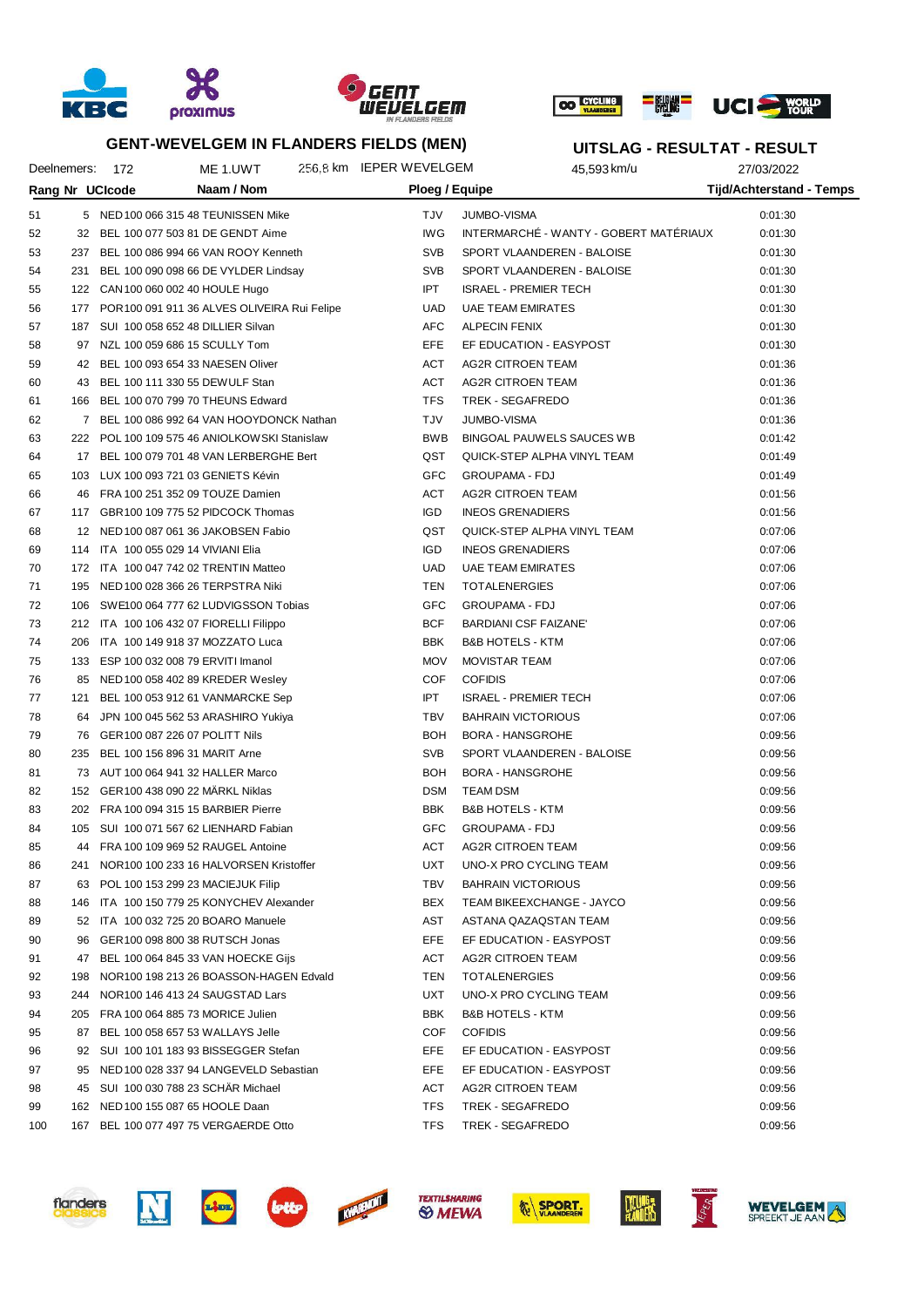





Deelnemers: 172 ME 1.UWT 256,8 km IEPER WEVELGEM 45,593 km/u 27/03/2022 **Rang Nr UCIcode Naam / Nom Ploeg / Equipe Tijd/Achterstand - Temps UITSLAG - RESULTAT - RESULT** 51 5 NED100 066 315 48 TEUNISSEN Mike TJV JUMBO-VISMA 6:01:30 52 32 BEL 100 077 503 81 DE GENDT Aime IWG INTERMARCHÉ - WANTY - GOBERT MATÉRIAUX 0:01:30 53 237 BEL 100 086 994 66 VAN ROOY Kenneth SVB SPORT VLAANDEREN - BALOISE 0:01:30 54 231 BEL 100 090 098 66 DE VYLDER Lindsay SVB SPORT VLAANDEREN - BALOISE 0:01:30 55 122 CAN100 060 002 40 HOULE Hugo IPT ISRAEL - PREMIER TECH 0:01:30 56 177 POR100 091 911 36 ALVES OLIVEIRA Rui Felipe UAD UAE TEAM EMIRATES 1999 1999 10:01:30 57 187 SUI 100 058 652 48 DILLIER Silvan AFC ALPECIN FENIX 0:01:30 58 97 NZL 100 059 686 15 SCULLY Tom EFE EF EDUCATION - EASYPOST 0:01:30 59 42 BEL 100 093 654 33 NAESEN Oliver ACT AG2R CITROEN TEAM 43 ACT AG2R CITROEN TEAM 0:01:36 60 43 BEL 100 111 330 55 DEWULF Stan ACT AG2R CITROEN TEAM 0:01:36 61 166 BEL 100 070 799 70 THEUNS Edward TFS TREK - SEGAFREDO 0:01:36 62 7 BEL 100 086 992 64 VAN HOOYDONCK Nathan TJV JUMBO-VISMA 0:01:36 63 222 POL 100 109 575 46 ANIOLKOWSKI Stanislaw BWB BINGOAL PAUWELS SAUCES WB 0:01:42 64 17 BEL 100 079 701 48 VAN LERBERGHE Bert QST QUICK-STEP ALPHA VINYL TEAM 0:01:49 65 103 LUX 100 093 721 03 GENIETS Kévin GFC GROUPAMA - FDJ 0:01:49 66 46 FRA 100 251 352 09 TOUZE Damien ACT AG2R CITROEN TEAM 0:01:56 67 117 GBR100 109 775 52 PIDCOCK Thomas IGD INEOS GRENADIERS 0:01:56 68 12 NED100 087 061 36 JAKOBSEN Fabio QST QUICK-STEP ALPHA VINYL TEAM 0:07:06 69 114 ITA 100 055 029 14 VIVIANI Elia IGD INEOS GRENADIERS 0:07:06 70 172 ITA 100 047 742 02 TRENTIN Matteo UAD UAE TEAM EMIRATES 0:07:06 71 195 NED100 028 366 26 TERPSTRA Niki TEN TOTALENERGIES 0:07:06 72 106 SWE100 064 777 62 LUDVIGSSON Tobias GFC GROUPAMA - FDJ 0:07:06 73 212 ITA 100 106 432 07 FIORELLI Filippo BCF BARDIANI CSF FAIZANE' 0:07:06 74 206 ITA 100 149 918 37 MOZZATO Luca BBK B&B HOTELS - KTM 0:07:06 75 133 ESP 100 032 008 79 ERVITI Imanol MOV MOVISTAR TEAM 0:07:06 76 85 NED100 058 402 89 KREDER Wesley COF COFIDIS 0:07:06 77 121 BEL 100 053 912 61 VANMARCKE Sep IPT ISRAEL - PREMIER TECH 0:07:06 78 64 JPN 100 045 562 53 ARASHIRO Yukiya TBV BAHRAIN VICTORIOUS 0:07:06 79 76 GER100 087 226 07 POLITT Nils BOH BORA - HANSGROHE 79 76 GER100 087 226 07 POLITT Nils 80 235 BEL 100 156 896 31 MARIT Arne SALL SVB SPORT VLAANDEREN - BALOISE 6:09:56 81 73 AUT 100 064 941 32 HALLER Marco BOH BORA - HANSGROHE 67 2013 10:09:56 82 152 GER100 438 090 22 MÄRKL Niklas DSM TEAM DSM TEAM DSM 0:09:56 83 202 FRA 100 094 315 15 BARBIER Pierre **BBK B&B HOTELS - KTM DEBK B&B HOTELS** - KTM 84 105 SUI 100 071 567 62 LIENHARD Fabian GFC GROUPAMA - FDJ 0:09:56 85 44 FRA 100 109 969 52 RAUGEL Antoine ACT AG2R CITROEN TEAM 6:09:56 86 241 NOR100 100 233 16 HALVORSEN Kristoffer VICH UXT UNO-X PRO CYCLING TEAM 0:09:56 87 63 POL 100 153 299 23 MACIEJUK Filip TBV BAHRAIN VICTORIOUS 66 209:56 88 146 ITA 100 150 779 25 KONYCHEV Alexander BEX TEAM BIKEEXCHANGE - JAYCO 0:09:56 89 52 ITA 100 032 725 20 BOARO Manuele AST AST AST ASTANA QAZAQSTAN TEAM 6:09:56 90 96 GER100 098 800 38 RUTSCH Jonas EFE EF EDUCATION - EASYPOST 0:09:56 91 47 BEL 100 064 845 33 VAN HOECKE Gijs ACT AG2R CITROEN TEAM 6:09:56 92 198 NOR100 198 213 26 BOASSON-HAGEN Edvald TEN TOTALENERGIES 1998 1998 1999:56 93 244 NOR100 146 413 24 SAUGSTAD Lars UXT UNO-X PRO CYCLING TEAM 0:09:56 94 205 FRA 100 064 885 73 MORICE Julien 88 1999 1999 BBK B&B HOTELS - KTM 2015 1999 1999:56 95 87 BEL 100 058 657 53 WALLAYS Jelle COF COFIDIS 0:09:56 96 92 SUI 100 101 183 93 BISSEGGER Stefan EFE EF EDUCATION - EASYPOST 0:09:56 97 95 NED 100 028 337 94 LANGEVELD Sebastian **EFE EF EDUCATION - EASYPOST** 95 NED 100 0:09:56 98 45 SUI 100 030 788 23 SCHÄR Michael ACT AG2R CITROEN TEAM 0:09:56

100 167 BEL 100 077 497 75 VERGAERDE Otto TFS TREK - SEGAFREDO 0:09:56









99 162 NED100 155 087 65 HOOLE Daan TFS TREK - SEGAFREDO 0:09:56







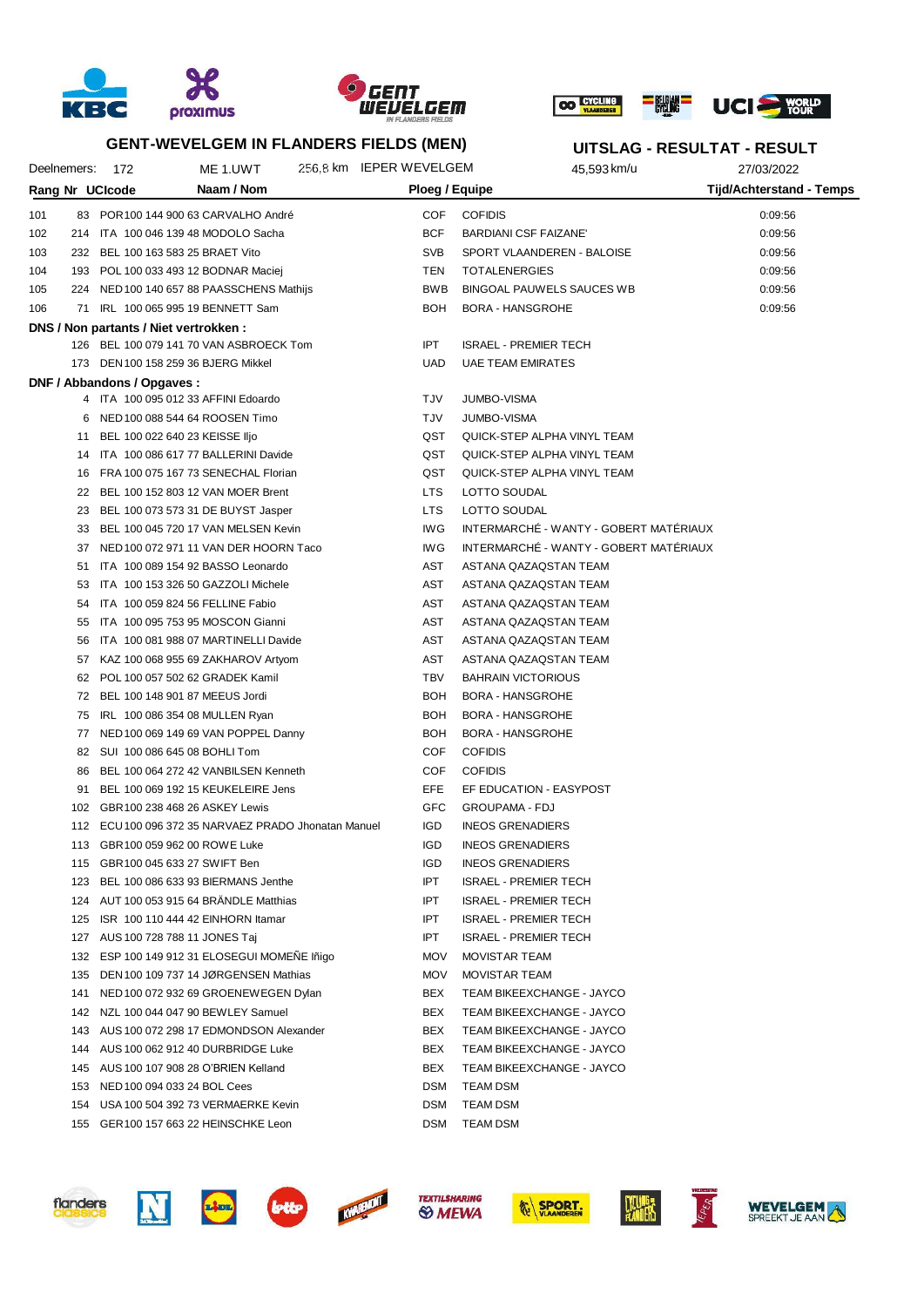





|                 |     |                             |                                                      | <b>GENT-WEVELGEM IN FLANDERS FIELDS (MEN)</b> |                 |                                        | UITSLAG - RESULTAT - RESULT |
|-----------------|-----|-----------------------------|------------------------------------------------------|-----------------------------------------------|-----------------|----------------------------------------|-----------------------------|
| Deelnemers:     |     | -172                        | ME 1.UWT                                             | 256,8 km IEPER WEVELGEM                       |                 | 45,593 km/u                            | 27/03/2022                  |
| Rang Nr UCIcode |     |                             | Naam / Nom                                           |                                               |                 | Ploeg / Equipe                         | Tijd/Achterstand - Temps    |
| 101             |     |                             | 83 POR 100 144 900 63 CARVALHO André                 |                                               | COF             | <b>COFIDIS</b>                         | 0:09:56                     |
| 102             |     |                             | 214 ITA 100 046 139 48 MODOLO Sacha                  |                                               | <b>BCF</b>      | BARDIANI CSF FAIZANE'                  | 0:09:56                     |
| 103             |     |                             | 232 BEL 100 163 583 25 BRAET Vito                    |                                               | <b>SVB</b>      | SPORT VLAANDEREN - BALOISE             | 0:09:56                     |
| 104             |     |                             | 193 POL 100 033 493 12 BODNAR Maciej                 |                                               | TEN             | <b>TOTALENERGIES</b>                   | 0:09:56                     |
| 105             |     |                             | 224 NED 100 140 657 88 PAASSCHENS Mathijs            |                                               | <b>BWB</b>      | BINGOAL PAUWELS SAUCES WB              | 0:09:56                     |
| 106             |     |                             | 71 IRL 100 065 995 19 BENNETT Sam                    |                                               | <b>BOH</b>      | <b>BORA - HANSGROHE</b>                | 0:09:56                     |
|                 |     |                             | DNS / Non partants / Niet vertrokken :               |                                               |                 |                                        |                             |
|                 |     |                             | 126 BEL 100 079 141 70 VAN ASBROECK Tom              |                                               | <b>IPT</b>      | <b>ISRAEL - PREMIER TECH</b>           |                             |
|                 |     |                             | 173 DEN 100 158 259 36 BJERG Mikkel                  |                                               | <b>UAD</b>      | <b>UAE TEAM EMIRATES</b>               |                             |
|                 |     | DNF / Abbandons / Opgaves : |                                                      |                                               |                 |                                        |                             |
|                 |     |                             | 4 ITA 100 095 012 33 AFFINI Edoardo                  |                                               | <b>TJV</b>      | <b>JUMBO-VISMA</b>                     |                             |
|                 |     |                             | 6 NED 100 088 544 64 ROOSEN Timo                     |                                               | TJV             | <b>JUMBO-VISMA</b>                     |                             |
|                 |     |                             | 11 BEL 100 022 640 23 KEISSE IIjo                    |                                               | QST             | QUICK-STEP ALPHA VINYL TEAM            |                             |
|                 |     |                             | 14 ITA 100 086 617 77 BALLERINI Davide               |                                               | QST             | QUICK-STEP ALPHA VINYL TEAM            |                             |
|                 |     |                             | 16 FRA 100 075 167 73 SENECHAL Florian               |                                               | QST             | QUICK-STEP ALPHA VINYL TEAM            |                             |
|                 |     |                             | 22 BEL 100 152 803 12 VAN MOER Brent                 |                                               | LTS             | LOTTO SOUDAL                           |                             |
|                 |     |                             | 23 BEL 100 073 573 31 DE BUYST Jasper                |                                               | LTS             | LOTTO SOUDAL                           |                             |
|                 |     |                             | 33 BEL 100 045 720 17 VAN MELSEN Kevin               |                                               | IW <sub>G</sub> | INTERMARCHÉ - WANTY - GOBERT MATÉRIAUX |                             |
|                 |     |                             | 37 NED 100 072 971 11 VAN DER HOORN Taco             |                                               | IW <sub>G</sub> | INTERMARCHÉ - WANTY - GOBERT MATÉRIAUX |                             |
|                 | 51  |                             | ITA 100 089 154 92 BASSO Leonardo                    |                                               | AST             | ASTANA QAZAQSTAN TEAM                  |                             |
|                 | 53  |                             | ITA 100 153 326 50 GAZZOLI Michele                   |                                               | AST             | ASTANA QAZAQSTAN TEAM                  |                             |
|                 | 54  |                             | ITA 100 059 824 56 FELLINE Fabio                     |                                               | AST             | ASTANA QAZAQSTAN TEAM                  |                             |
|                 | 55  |                             | ITA 100 095 753 95 MOSCON Gianni                     |                                               | AST             | ASTANA QAZAQSTAN TEAM                  |                             |
|                 | 56  |                             | ITA 100 081 988 07 MARTINELLI Davide                 |                                               | AST             | ASTANA QAZAQSTAN TEAM                  |                             |
|                 |     |                             | 57 KAZ 100 068 955 69 ZAKHAROV Artyom                |                                               | AST             | ASTANA QAZAQSTAN TEAM                  |                             |
|                 | 62  |                             | POL 100 057 502 62 GRADEK Kamil                      |                                               | <b>TBV</b>      | <b>BAHRAIN VICTORIOUS</b>              |                             |
|                 |     |                             | 72 BEL 100 148 901 87 MEEUS Jordi                    |                                               | <b>BOH</b>      | <b>BORA - HANSGROHE</b>                |                             |
|                 | 75  |                             | IRL 100 086 354 08 MULLEN Ryan                       |                                               | BOH             | BORA - HANSGROHE                       |                             |
|                 |     |                             | 77 NED 100 069 149 69 VAN POPPEL Danny               |                                               | BOH             | <b>BORA - HANSGROHE</b>                |                             |
|                 | 82  |                             | SUI 100 086 645 08 BOHLI Tom                         |                                               | COF             | <b>COFIDIS</b>                         |                             |
|                 | 86  |                             | BEL 100 064 272 42 VANBILSEN Kenneth                 |                                               | <b>COF</b>      | <b>COFIDIS</b>                         |                             |
|                 | 91  |                             | BEL 100 069 192 15 KEUKELEIRE Jens                   |                                               | EFE             | EF EDUCATION - EASYPOST                |                             |
|                 | 102 |                             | GBR100 238 468 26 ASKEY Lewis                        |                                               | GFC             | <b>GROUPAMA - FDJ</b>                  |                             |
|                 |     |                             | 112 ECU 100 096 372 35 NARVAEZ PRADO Jhonatan Manuel |                                               | <b>IGD</b>      | <b>INEOS GRENADIERS</b>                |                             |
|                 |     |                             | 113 GBR100 059 962 00 ROWE Luke                      |                                               | <b>IGD</b>      | <b>INEOS GRENADIERS</b>                |                             |
|                 | 115 |                             | GBR100 045 633 27 SWIFT Ben                          |                                               | <b>IGD</b>      | <b>INEOS GRENADIERS</b>                |                             |
|                 | 123 |                             | BEL 100 086 633 93 BIERMANS Jenthe                   |                                               | <b>IPT</b>      | <b>ISRAEL - PREMIER TECH</b>           |                             |
|                 |     |                             | 124 AUT 100 053 915 64 BRÄNDLE Matthias              |                                               | <b>IPT</b>      | <b>ISRAEL - PREMIER TECH</b>           |                             |
|                 | 125 |                             | ISR 100 110 444 42 EINHORN Itamar                    |                                               | <b>IPT</b>      | <b>ISRAEL - PREMIER TECH</b>           |                             |
|                 |     |                             | 127 AUS 100 728 788 11 JONES Taj                     |                                               | IPT             | <b>ISRAEL - PREMIER TECH</b>           |                             |
|                 |     |                             | 132 ESP 100 149 912 31 ELOSEGUI MOMENE Iñigo         |                                               | <b>MOV</b>      | <b>MOVISTAR TEAM</b>                   |                             |
|                 |     |                             | 135 DEN 100 109 737 14 JØRGENSEN Mathias             |                                               | <b>MOV</b>      | <b>MOVISTAR TEAM</b>                   |                             |
|                 | 141 |                             | NED 100 072 932 69 GROENEWEGEN Dylan                 |                                               | BEX             | TEAM BIKEEXCHANGE - JAYCO              |                             |
|                 |     |                             | 142 NZL 100 044 047 90 BEWLEY Samuel                 |                                               | BEX             | TEAM BIKEEXCHANGE - JAYCO              |                             |
|                 |     |                             | 143 AUS 100 072 298 17 EDMONDSON Alexander           |                                               | BEX             | TEAM BIKEEXCHANGE - JAYCO              |                             |
|                 |     |                             | 144 AUS 100 062 912 40 DURBRIDGE Luke                |                                               | BEX             | TEAM BIKEEXCHANGE - JAYCO              |                             |
|                 |     |                             | 145 AUS 100 107 908 28 O'BRIEN Kelland               |                                               | BEX             | TEAM BIKEEXCHANGE - JAYCO              |                             |
|                 |     |                             | 153 NED 100 094 033 24 BOL Cees                      |                                               | <b>DSM</b>      | <b>TEAM DSM</b>                        |                             |
|                 |     |                             | 154 USA 100 504 392 73 VERMAERKE Kevin               |                                               | <b>DSM</b>      | <b>TEAM DSM</b>                        |                             |
|                 |     |                             | 155 GER100 157 663 22 HEINSCHKE Leon                 |                                               |                 | DSM TEAM DSM                           |                             |